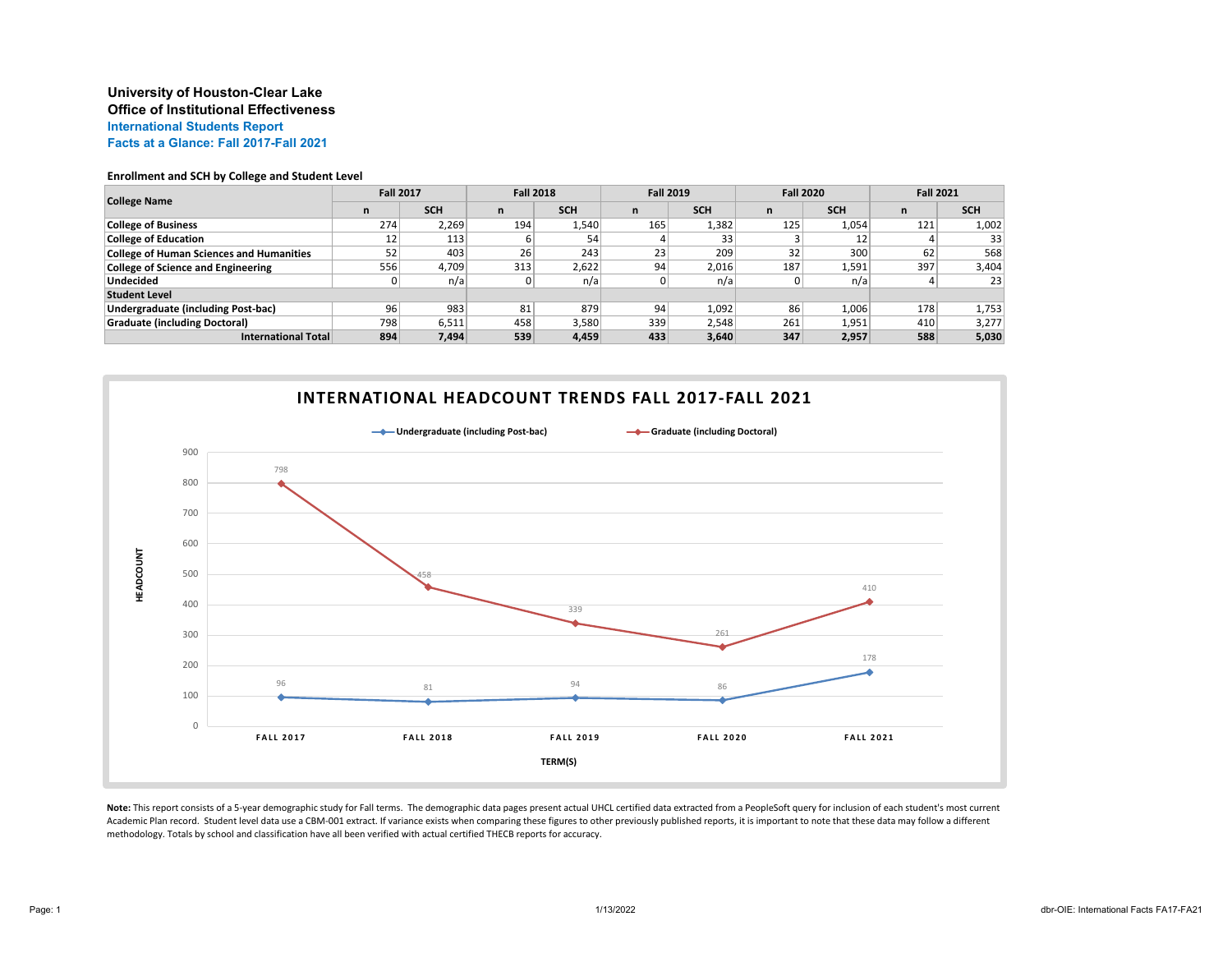## **University of Houston-Clear Lake Office of Institutional Effectiveness International Students Report Facts at a Glance: Fall 2017-Fall 2021**

#### **Enrollment and SCH by College and Student Level**

| <b>College Name</b>                             | <b>Fall 2017</b> |            | <b>Fall 2018</b> |            | <b>Fall 2019</b> |            | <b>Fall 2020</b> |            | <b>Fall 2021</b> |            |
|-------------------------------------------------|------------------|------------|------------------|------------|------------------|------------|------------------|------------|------------------|------------|
|                                                 | n                | <b>SCH</b> | n                | <b>SCH</b> | n                | <b>SCH</b> | n                | <b>SCH</b> | n                | <b>SCH</b> |
| <b>College of Business</b>                      | 274              | 2,269      | 194              | 1,540      | 165              | 1,382      | 125              | 1,054      | 121              | 1,002      |
| <b>College of Education</b>                     | 12               | 113        |                  | 54         |                  | 33         |                  |            |                  | 33         |
| <b>College of Human Sciences and Humanities</b> | 52               | 403        | 26               | 243        | 23               | 209        | 32 <sub>1</sub>  | 300        | 62               | 568        |
| College of Science and Engineering              | 556              | 4,709      | 313              | 2.622      | 94               | 2,016      | 187              | 1,591      | 397              | 3,404      |
| <b>Undecided</b>                                |                  | n/a        |                  | n/a        |                  | n/a        |                  | n/a        | 4                | 23         |
| <b>Student Level</b>                            |                  |            |                  |            |                  |            |                  |            |                  |            |
| Undergraduate (including Post-bac)              | 96               | 983        | 81               | 879        | 94               | 1,092      | 86               | 1,006      | 178              | 1,753      |
| <b>Graduate (including Doctoral)</b>            | 798              | 6,511      | 458              | 3.580      | 339              | 2.548      | 261              | 1,951      | 410              | 3,277      |
| <b>International Total</b>                      | 894              | 7,494      | 539              | 4,459      | 433              | 3.640      | 347              | 2,957      | 588              | 5,030      |



**Note:** This report consists of a 5-year demographic study for Fall terms. The demographic data pages present actual UHCL certified data extracted from a PeopleSoft query for inclusion of each student's most current Academic Plan record. Student level data use a CBM-001 extract. If variance exists when comparing these figures to other previously published reports, it is important to note that these data may follow a different methodology. Totals by school and classification have all been verified with actual certified THECB reports for accuracy.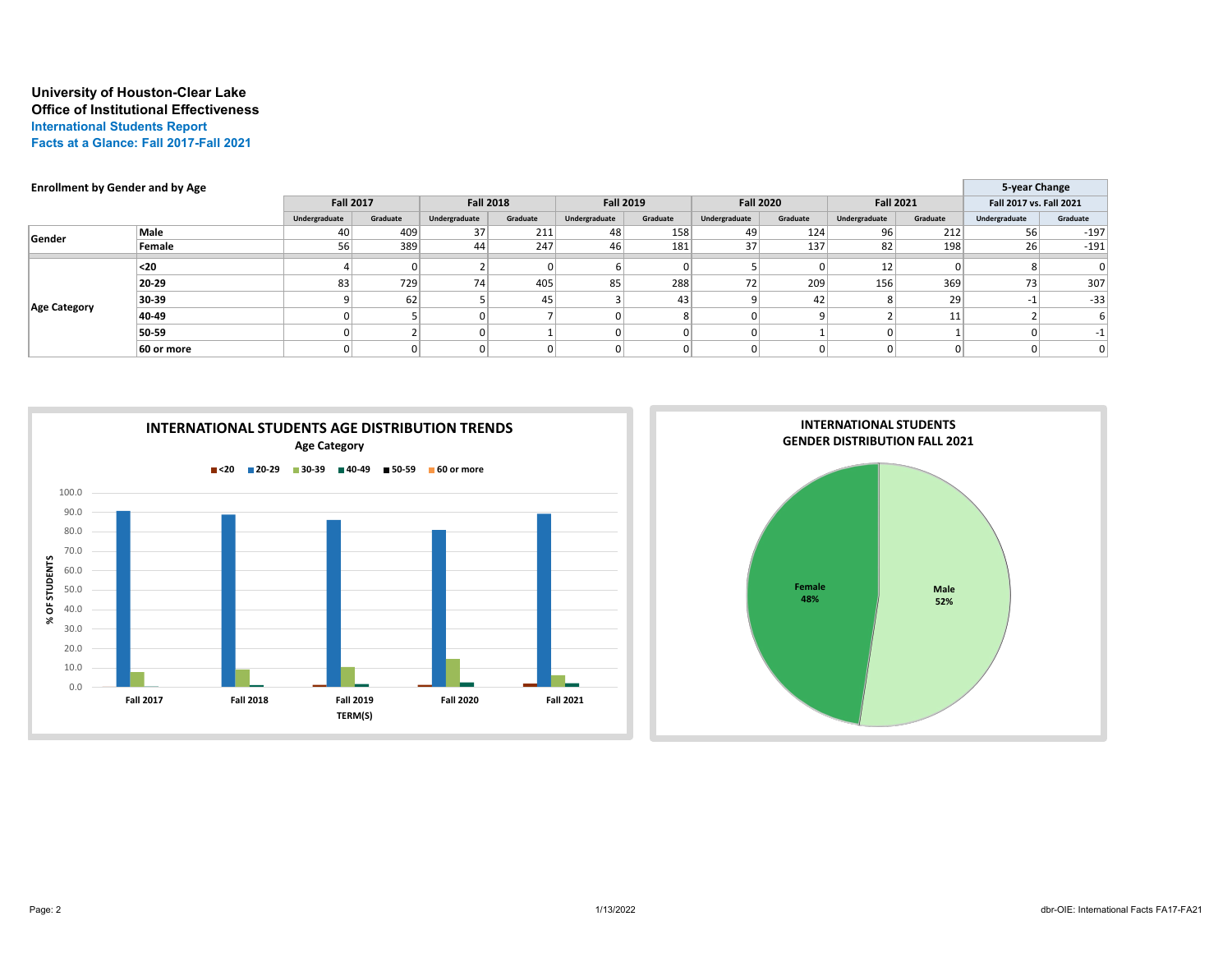# **University of Houston-Clear Lake Office of Institutional Effectiveness International Students Report Facts at a Glance: Fall 2017-Fall 2021**

| <b>Enrollment by Gender and by Age</b> |               |                  |          |                  |          |                  |          |                  |          |                  | 5-year Change |                         |          |
|----------------------------------------|---------------|------------------|----------|------------------|----------|------------------|----------|------------------|----------|------------------|---------------|-------------------------|----------|
|                                        |               | <b>Fall 2017</b> |          | <b>Fall 2018</b> |          | <b>Fall 2019</b> |          | <b>Fall 2020</b> |          | <b>Fall 2021</b> |               | Fall 2017 vs. Fall 2021 |          |
|                                        |               | Undergraduate    | Graduate | Undergraduate    | Graduate | Undergraduate    | Graduate | Undergraduate    | Graduate | Undergraduate    | Graduate      | Undergraduate           | Graduate |
| Gender                                 | Male          | 40               | 409      | 37               | 211      | 48               | 158      | 49               | 124      | 96               | 212           | 56                      | $-197$   |
|                                        | Female        | 56               | 389      | 44               | 247      | 46               | 181      | $37$             | 137      | 82               | 198           | 26                      | $-191$   |
| <b>Age Category</b>                    | <sub>20</sub> |                  |          |                  |          |                  |          |                  |          | 12               |               |                         | $\Omega$ |
|                                        | 20-29         | 83               | 729      | 74               | 405      | 85               | 288      | 72               | 209      | 156              | 369           | 73                      | 307      |
|                                        | 30-39         |                  | 62       |                  | 45       |                  | 43       |                  | 42       |                  | 29            |                         | $-33$    |
|                                        | 40-49         |                  |          | $\Omega$         |          |                  |          |                  |          |                  | 11            |                         |          |
|                                        | 50-59         |                  |          | <sup>0</sup>     |          |                  |          |                  |          |                  |               |                         | -1       |
|                                        | 60 or more    |                  |          | $\overline{0}$   |          |                  | 0        |                  |          |                  |               |                         | 0        |